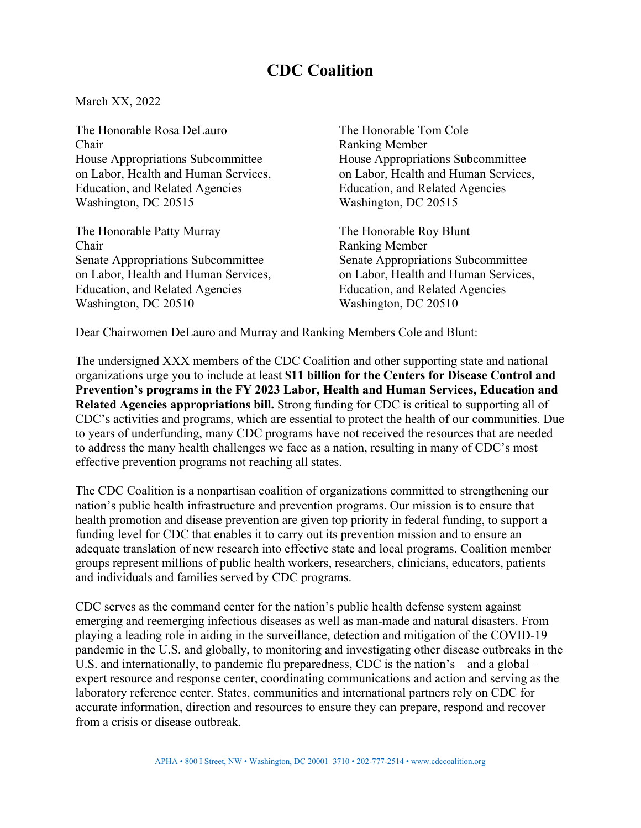## **CDC Coalition**

March XX, 2022

The Honorable Rosa DeLauro The Honorable Tom Cole Chair Ranking Member House Appropriations Subcommittee House Appropriations Subcommittee on Labor, Health and Human Services, on Labor, Health and Human Services, Education, and Related Agencies Education, and Related Agencies Washington, DC 20515 Washington, DC 20515

The Honorable Patty Murray The Honorable Roy Blunt Chair Ranking Member Senate Appropriations Subcommittee Senate Appropriations Subcommittee Education, and Related Agencies Education, and Related Agencies Washington, DC 20510 Washington, DC 20510

on Labor, Health and Human Services, on Labor, Health and Human Services,

Dear Chairwomen DeLauro and Murray and Ranking Members Cole and Blunt:

The undersigned XXX members of the CDC Coalition and other supporting state and national organizations urge you to include at least **\$11 billion for the Centers for Disease Control and Prevention's programs in the FY 2023 Labor, Health and Human Services, Education and Related Agencies appropriations bill.** Strong funding for CDC is critical to supporting all of CDC's activities and programs, which are essential to protect the health of our communities. Due to years of underfunding, many CDC programs have not received the resources that are needed to address the many health challenges we face as a nation, resulting in many of CDC's most effective prevention programs not reaching all states.

The CDC Coalition is a nonpartisan coalition of organizations committed to strengthening our nation's public health infrastructure and prevention programs. Our mission is to ensure that health promotion and disease prevention are given top priority in federal funding, to support a funding level for CDC that enables it to carry out its prevention mission and to ensure an adequate translation of new research into effective state and local programs. Coalition member groups represent millions of public health workers, researchers, clinicians, educators, patients and individuals and families served by CDC programs.

CDC serves as the command center for the nation's public health defense system against emerging and reemerging infectious diseases as well as man-made and natural disasters. From playing a leading role in aiding in the surveillance, detection and mitigation of the COVID-19 pandemic in the U.S. and globally, to monitoring and investigating other disease outbreaks in the U.S. and internationally, to pandemic flu preparedness, CDC is the nation's – and a global – expert resource and response center, coordinating communications and action and serving as the laboratory reference center. States, communities and international partners rely on CDC for accurate information, direction and resources to ensure they can prepare, respond and recover from a crisis or disease outbreak.